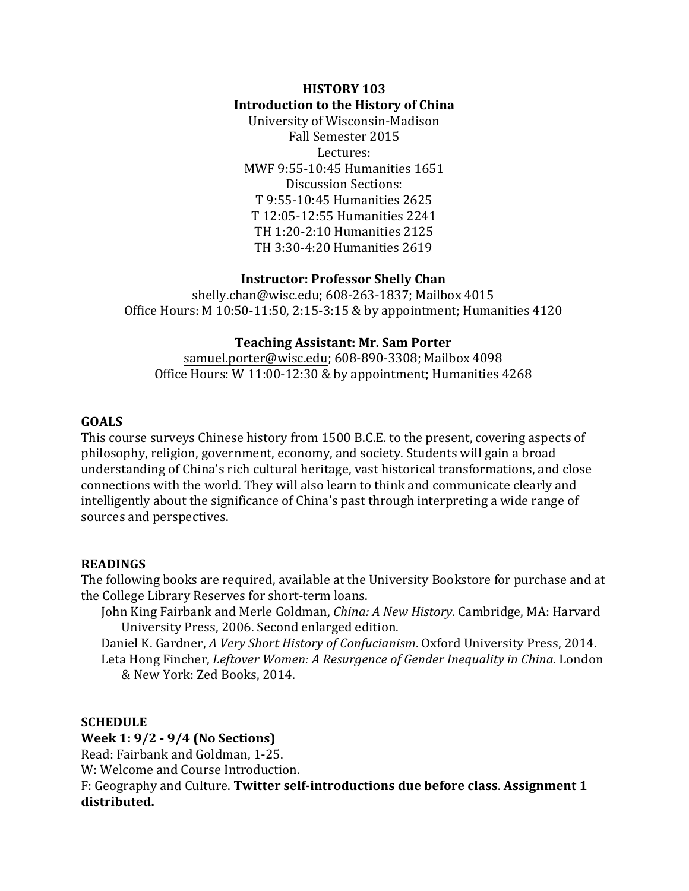# **HISTORY 103 Introduction to the History of China**

University of Wisconsin-Madison Fall Semester 2015 Lectures: MWF 9:55-10:45 Humanities 1651 Discussion Sections: T 9:55-10:45 Humanities 2625 T 12:05-12:55 Humanities 2241 TH 1:20-2:10 Humanities 2125 TH 3:30-4:20 Humanities 2619

# **Instructor: Professor Shelly Chan**

[shelly.chan@wisc.edu;](mailto:shelly.chan@wisc.edu) 608-263-1837; Mailbox 4015 Office Hours: M 10:50-11:50, 2:15-3:15 & by appointment; Humanities 4120

# **Teaching Assistant: Mr. Sam Porter**

[samuel.porter@wisc.edu;](mailto:samuel.porter@wisc.edu) 608-890-3308; Mailbox 4098 Office Hours: W 11:00-12:30 & by appointment; Humanities 4268

# **GOALS**

This course surveys Chinese history from 1500 B.C.E. to the present, covering aspects of philosophy, religion, government, economy, and society. Students will gain a broad understanding of China's rich cultural heritage, vast historical transformations, and close connections with the world. They will also learn to think and communicate clearly and intelligently about the significance of China's past through interpreting a wide range of sources and perspectives.

# **READINGS**

The following books are required, available at the University Bookstore for purchase and at the College Library Reserves for short-term loans.

John King Fairbank and Merle Goldman, *China: A New History*. Cambridge, MA: Harvard University Press, 2006. Second enlarged edition.

Daniel K. Gardner, *A Very Short History of Confucianism*. Oxford University Press, 2014. Leta Hong Fincher, *Leftover Women: A Resurgence of Gender Inequality in China*. London & New York: Zed Books, 2014.

# **SCHEDULE**

# **Week 1: 9/2 - 9/4 (No Sections)**

Read: Fairbank and Goldman, 1-25.

W: Welcome and Course Introduction.

F: Geography and Culture. **Twitter self-introductions due before class**. **Assignment 1 distributed.**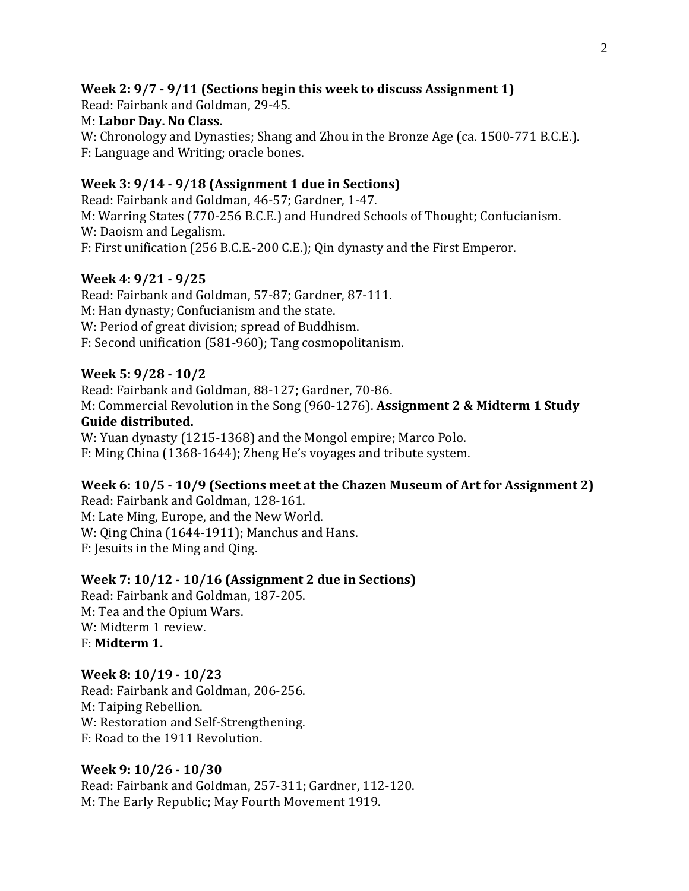# **Week 2: 9/7 - 9/11 (Sections begin this week to discuss Assignment 1)**

Read: Fairbank and Goldman, 29-45. M: **Labor Day. No Class.** W: Chronology and Dynasties; Shang and Zhou in the Bronze Age (ca. 1500-771 B.C.E.). F: Language and Writing; oracle bones.

# **Week 3: 9/14 - 9/18 (Assignment 1 due in Sections)**

Read: Fairbank and Goldman, 46-57; Gardner, 1-47. M: Warring States (770-256 B.C.E.) and Hundred Schools of Thought; Confucianism. W: Daoism and Legalism. F: First unification (256 B.C.E.-200 C.E.); Qin dynasty and the First Emperor.

## **Week 4: 9/21 - 9/25**

Read: Fairbank and Goldman, 57-87; Gardner, 87-111. M: Han dynasty; Confucianism and the state. W: Period of great division; spread of Buddhism. F: Second unification (581-960); Tang cosmopolitanism.

## **Week 5: 9/28 - 10/2**

Read: Fairbank and Goldman, 88-127; Gardner, 70-86. M: Commercial Revolution in the Song (960-1276). **Assignment 2 & Midterm 1 Study Guide distributed.**  W: Yuan dynasty (1215-1368) and the Mongol empire; Marco Polo.

F: Ming China (1368-1644); Zheng He's voyages and tribute system.

## **Week 6: 10/5 - 10/9 (Sections meet at the Chazen Museum of Art for Assignment 2)**

Read: Fairbank and Goldman, 128-161. M: Late Ming, Europe, and the New World. W: Qing China (1644-1911); Manchus and Hans. F: Jesuits in the Ming and Qing.

## **Week 7: 10/12 - 10/16 (Assignment 2 due in Sections)**

Read: Fairbank and Goldman, 187-205. M: Tea and the Opium Wars. W: Midterm 1 review. F: **Midterm 1.**

## **Week 8: 10/19 - 10/23**

Read: Fairbank and Goldman, 206-256. M: Taiping Rebellion. W: Restoration and Self-Strengthening. F: Road to the 1911 Revolution.

## **Week 9: 10/26 - 10/30**

Read: Fairbank and Goldman, 257-311; Gardner, 112-120. M: The Early Republic; May Fourth Movement 1919.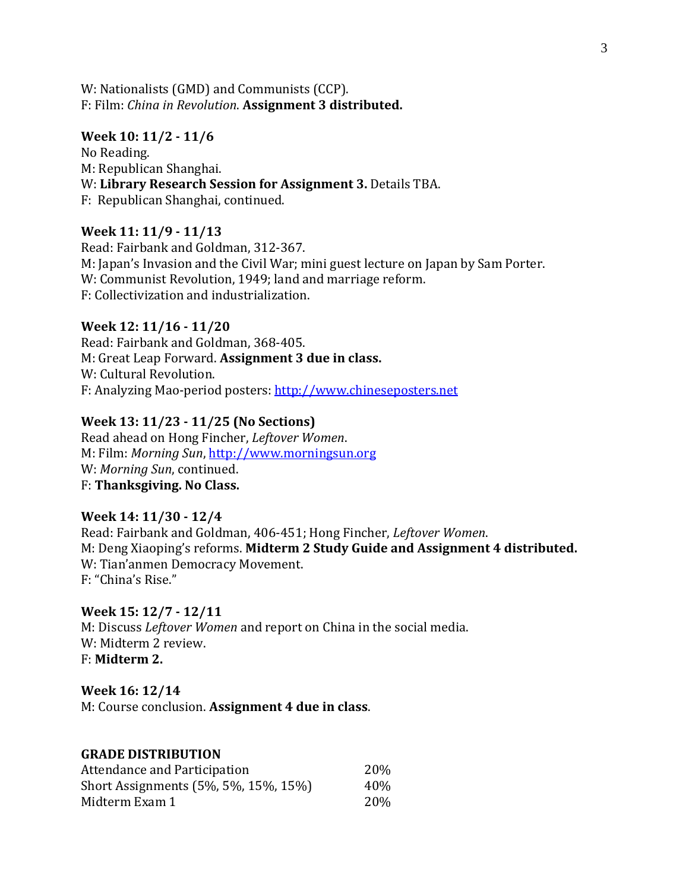W: Nationalists (GMD) and Communists (CCP). F: Film: *China in Revolution*. **Assignment 3 distributed.**

## **Week 10: 11/2 - 11/6**

No Reading. M: Republican Shanghai. W: **Library Research Session for Assignment 3.** Details TBA. F: Republican Shanghai, continued.

## **Week 11: 11/9 - 11/13**

Read: Fairbank and Goldman, 312-367. M: Japan's Invasion and the Civil War; mini guest lecture on Japan by Sam Porter. W: Communist Revolution, 1949; land and marriage reform. F: Collectivization and industrialization.

## **Week 12: 11/16 - 11/20**

Read: Fairbank and Goldman, 368-405. M: Great Leap Forward. **Assignment 3 due in class.** W: Cultural Revolution. F: Analyzing Mao-period posters: [http://www.chineseposters.net](http://www.chineseposters.net/)

## **Week 13: 11/23 - 11/25 (No Sections)**

Read ahead on Hong Fincher, *Leftover Women*. M: Film: *Morning Sun*, [http://www.morningsun.org](http://www.morningsun.org/) W: *Morning Sun*, continued. F: **Thanksgiving. No Class.**

# **Week 14: 11/30 - 12/4**

Read: Fairbank and Goldman, 406-451; Hong Fincher, *Leftover Women*. M: Deng Xiaoping's reforms. **Midterm 2 Study Guide and Assignment 4 distributed.** W: Tian'anmen Democracy Movement. F: "China's Rise."

## **Week 15: 12/7 - 12/11**

M: Discuss *Leftover Women* and report on China in the social media. W: Midterm 2 review. F: **Midterm 2.**

## **Week 16: 12/14**

M: Course conclusion. **Assignment 4 due in class**.

#### **GRADE DISTRIBUTION**

| Attendance and Participation         | <b>20%</b> |
|--------------------------------------|------------|
| Short Assignments (5%, 5%, 15%, 15%) | 40%        |
| Midterm Exam 1                       | <b>20%</b> |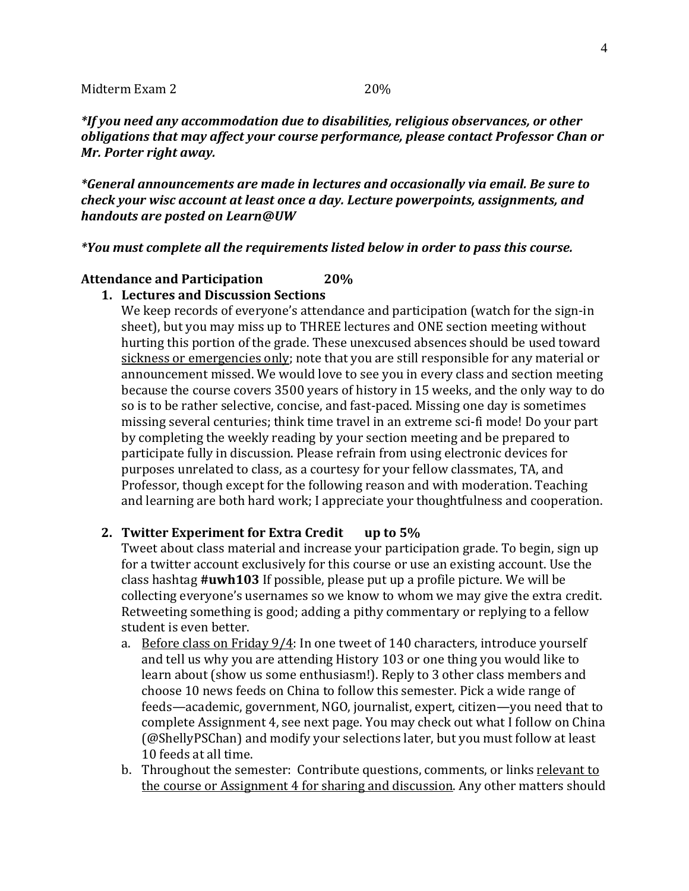*\*If you need any accommodation due to disabilities, religious observances, or other obligations that may affect your course performance, please contact Professor Chan or Mr. Porter right away.* 

*\*General announcements are made in lectures and occasionally via email. Be sure to check your wisc account at least once a day. Lecture powerpoints, assignments, and handouts are posted on Learn@UW*

#### *\*You must complete all the requirements listed below in order to pass this course.*

## **Attendance and Participation 20%**

## **1. Lectures and Discussion Sections**

We keep records of everyone's attendance and participation (watch for the sign-in sheet), but you may miss up to THREE lectures and ONE section meeting without hurting this portion of the grade. These unexcused absences should be used toward sickness or emergencies only; note that you are still responsible for any material or announcement missed. We would love to see you in every class and section meeting because the course covers 3500 years of history in 15 weeks, and the only way to do so is to be rather selective, concise, and fast-paced. Missing one day is sometimes missing several centuries; think time travel in an extreme sci-fi mode! Do your part by completing the weekly reading by your section meeting and be prepared to participate fully in discussion. Please refrain from using electronic devices for purposes unrelated to class, as a courtesy for your fellow classmates, TA, and Professor, though except for the following reason and with moderation. Teaching and learning are both hard work; I appreciate your thoughtfulness and cooperation.

## **2. Twitter Experiment for Extra Credit up to 5%**

Tweet about class material and increase your participation grade. To begin, sign up for a twitter account exclusively for this course or use an existing account. Use the class hashtag **#uwh103** If possible, please put up a profile picture. We will be collecting everyone's usernames so we know to whom we may give the extra credit. Retweeting something is good; adding a pithy commentary or replying to a fellow student is even better.

- a. Before class on Friday 9/4: In one tweet of 140 characters, introduce yourself and tell us why you are attending History 103 or one thing you would like to learn about (show us some enthusiasm!). Reply to 3 other class members and choose 10 news feeds on China to follow this semester. Pick a wide range of feeds—academic, government, NGO, journalist, expert, citizen—you need that to complete Assignment 4, see next page. You may check out what I follow on China (@ShellyPSChan) and modify your selections later, but you must follow at least 10 feeds at all time.
- b. Throughout the semester: Contribute questions, comments, or links relevant to the course or Assignment 4 for sharing and discussion. Any other matters should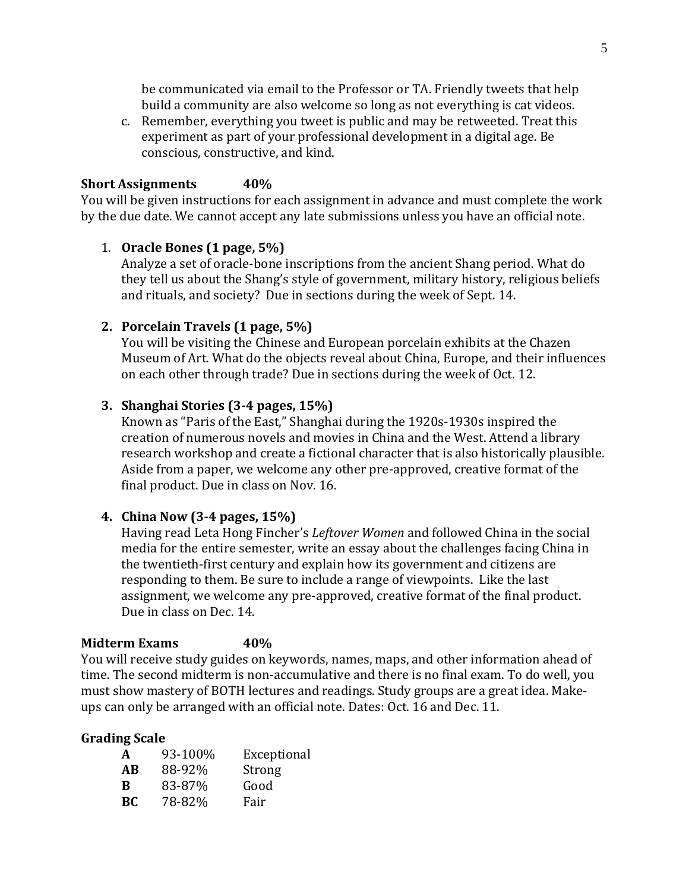be communicated via email to the Professor or TA. Friendly tweets that help build a community are also welcome so long as not everything is cat videos.

c. Remember, everything you tweet is public and may be retweeted. Treat this experiment as part of your professional development in a digital age. Be conscious, constructive, and kind.

# **Short Assignments 40%**

You will be given instructions for each assignment in advance and must complete the work by the due date. We cannot accept any late submissions unless you have an official note.

# 1. **Oracle Bones (1 page, 5%)**

Analyze a set of oracle-bone inscriptions from the ancient Shang period. What do they tell us about the Shang's style of government, military history, religious beliefs and rituals, and society? Due in sections during the week of Sept. 14.

# **2. Porcelain Travels (1 page, 5%)**

You will be visiting the Chinese and European porcelain exhibits at the Chazen Museum of Art. What do the objects reveal about China, Europe, and their influences on each other through trade? Due in sections during the week of Oct. 12.

# **3. Shanghai Stories (3-4 pages, 15%)**

Known as "Paris of the East," Shanghai during the 1920s-1930s inspired the creation of numerous novels and movies in China and the West. Attend a library research workshop and create a fictional character that is also historically plausible. Aside from a paper, we welcome any other pre-approved, creative format of the final product. Due in class on Nov. 16.

# **4. China Now (3-4 pages, 15%)**

Having read Leta Hong Fincher's *Leftover Women* and followed China in the social media for the entire semester, write an essay about the challenges facing China in the twentieth-first century and explain how its government and citizens are responding to them. Be sure to include a range of viewpoints. Like the last assignment, we welcome any pre-approved, creative format of the final product. Due in class on Dec. 14.

# **Midterm Exams 40%**

You will receive study guides on keywords, names, maps, and other information ahead of time. The second midterm is non-accumulative and there is no final exam. To do well, you must show mastery of BOTH lectures and readings. Study groups are a great idea. Makeups can only be arranged with an official note. Dates: Oct. 16 and Dec. 11.

# **Grading Scale**

| A   | 93-100% | Exceptional |
|-----|---------|-------------|
| AB  | 88-92%  | Strong      |
| B   | 83-87%  | Good        |
| BC. | 78-82%  | Fair        |
|     |         |             |